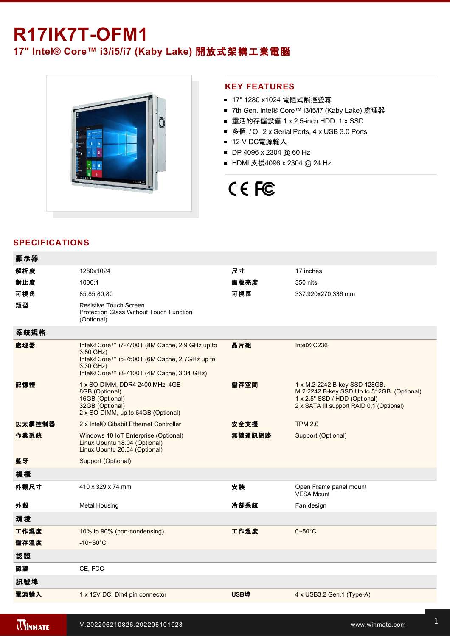# **R17IK7T-OFM1**

**17" Intel® Core™ i3/i5/i7 (Kaby Lake)** 開放式架構工業電腦



## **KEY FEATURES**

- 17" 1280 x1024 電阻式觸控螢幕
- 7th Gen. Intel® Core™ i3/i5/i7 (Kaby Lake) 處理器
- 靈活的存儲設備 1 x 2.5-inch HDD, 1 x SSD
- 多個I / O, 2 x Serial Ports, 4 x USB 3.0 Ports
- 12 V DC電源輸入
- DP 4096 x 2304 @ 60 Hz
- HDMI 支援4096 x 2304 @ 24 Hz

# CE FC

### **SPECIFICATIONS**

| 顯示器    |                                                                                                                                                                         |             |                                                                                                                                                          |
|--------|-------------------------------------------------------------------------------------------------------------------------------------------------------------------------|-------------|----------------------------------------------------------------------------------------------------------------------------------------------------------|
| 解析度    | 1280x1024                                                                                                                                                               | 尺寸          | 17 inches                                                                                                                                                |
| 對比度    | 1000:1                                                                                                                                                                  | 面版亮度        | 350 nits                                                                                                                                                 |
| 可視角    | 85,85,80,80                                                                                                                                                             | 可視區         | 337.920x270.336 mm                                                                                                                                       |
| 類型     | <b>Resistive Touch Screen</b><br>Protection Glass Without Touch Function<br>(Optional)                                                                                  |             |                                                                                                                                                          |
| 系統規格   |                                                                                                                                                                         |             |                                                                                                                                                          |
| 處理器    | Intel® Core™ i7-7700T (8M Cache, 2.9 GHz up to<br>3.80 GHz)<br>Intel® Core™ i5-7500T (6M Cache, 2.7GHz up to<br>3.30 GHz)<br>Intel® Core™ i3-7100T (4M Cache, 3.34 GHz) | 晶片組         | Intel® C236                                                                                                                                              |
| 記憶體    | 1 x SO-DIMM, DDR4 2400 MHz, 4GB<br>8GB (Optional)<br>16GB (Optional)<br>32GB (Optional)<br>2 x SO-DIMM, up to 64GB (Optional)                                           | 儲存空間        | 1 x M.2 2242 B-key SSD 128GB.<br>M.2 2242 B-key SSD Up to 512GB. (Optional)<br>1 x 2.5" SSD / HDD (Optional)<br>2 x SATA III support RAID 0,1 (Optional) |
| 以太網控制器 | 2 x Intel® Gibabit Ethernet Controller                                                                                                                                  | 安全支援        | <b>TPM 2.0</b>                                                                                                                                           |
| 作業系統   | Windows 10 IoT Enterprise (Optional)<br>Linux Ubuntu 18.04 (Optional)<br>Linux Ubuntu 20.04 (Optional)                                                                  | 無線通訊網路      | Support (Optional)                                                                                                                                       |
| 藍牙     | Support (Optional)                                                                                                                                                      |             |                                                                                                                                                          |
| 機構     |                                                                                                                                                                         |             |                                                                                                                                                          |
| 外觀尺寸   | 410 x 329 x 74 mm                                                                                                                                                       | 安装          | Open Frame panel mount<br><b>VESA Mount</b>                                                                                                              |
| 外殼     | <b>Metal Housing</b>                                                                                                                                                    | 冷卻系統        | Fan design                                                                                                                                               |
| 環境     |                                                                                                                                                                         |             |                                                                                                                                                          |
| 工作濕度   | 10% to 90% (non-condensing)                                                                                                                                             | 工作溫度        | $0\nightharpoonup 50^\circ C$                                                                                                                            |
| 儲存溫度   | $-10 - 60^{\circ}$ C                                                                                                                                                    |             |                                                                                                                                                          |
| 認證     |                                                                                                                                                                         |             |                                                                                                                                                          |
| 認證     | CE, FCC                                                                                                                                                                 |             |                                                                                                                                                          |
| 訊號埠    |                                                                                                                                                                         |             |                                                                                                                                                          |
| 電源輸入   | 1 x 12V DC, Din4 pin connector                                                                                                                                          | <b>USB埠</b> | 4 x USB3.2 Gen.1 (Type-A)                                                                                                                                |

<u>1 x RS23</u>

1 x HDMI 1.4 (Optional)